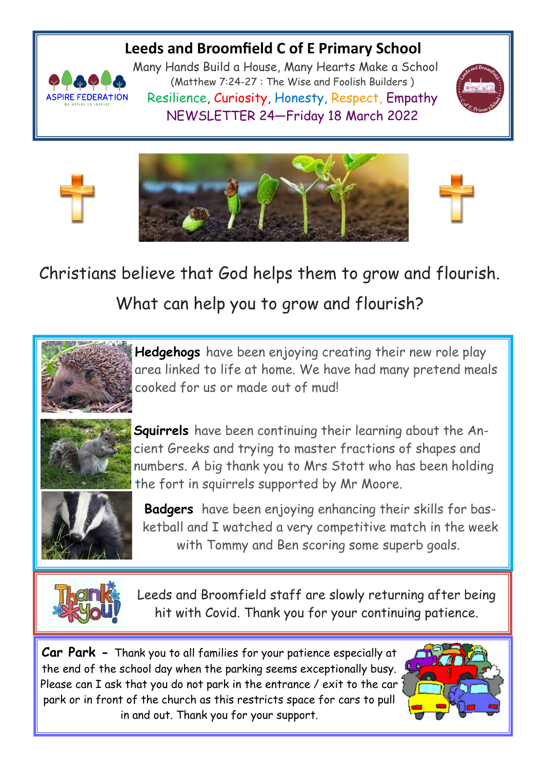# **Leeds and Broomfield C of E Primary School**



Many Hands Build a House, Many Hearts Make a School (Matthew 7:24-27 : The Wise and Foolish Builders ) Resilience, Curiosity, Honesty, Respect, Empathy NEWSLETTER 24—Friday 18 March 2022







Christians believe that God helps them to grow and flourish. What can help you to grow and flourish?



**Hedgehogs** have been enjoying creating their new role play area linked to life at home. We have had many pretend meals cooked for us or made out of mud!



**Squirrels** have been continuing their learning about the Ancient Greeks and trying to master fractions of shapes and numbers. A big thank you to Mrs Stott who has been holding the fort in squirrels supported by Mr Moore.



**Badgers** have been enjoying enhancing their skills for basketball and I watched a very competitive match in the week with Tommy and Ben scoring some superb goals.



Leeds and Broomfield staff are slowly returning after being hit with Covid. Thank you for your continuing patience.

**Car Park -** Thank you to all families for your patience especially at the end of the school day when the parking seems exceptionally busy. Please can I ask that you do not park in the entrance / exit to the car park or in front of the church as this restricts space for cars to pull in and out. Thank you for your support.

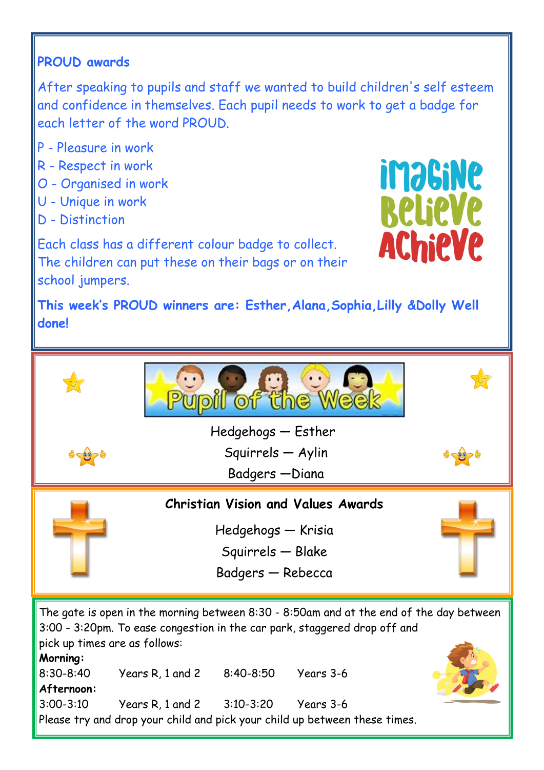# **PROUD awards**

After speaking to pupils and staff we wanted to build children's self esteem and confidence in themselves. Each pupil needs to work to get a badge for each letter of the word PROUD.

- P Pleasure in work
- R Respect in work
- O Organised in work
- U Unique in work
- D Distinction

inasine **RelieVe AChieVe** 

Each class has a different colour badge to collect. The children can put these on their bags or on their school jumpers.

**This week's PROUD winners are: Esther,Alana,Sophia,Lilly &Dolly Well done!**



pick up times are as follows: **Morning:** 8:30-8:40 Years R, 1 and 2 8:40-8:50 Years 3-6 **Afternoon:** 3:00-3:10 Years R, 1 and 2 3:10-3:20 Years 3-6 Please try and drop your child and pick your child up between these times.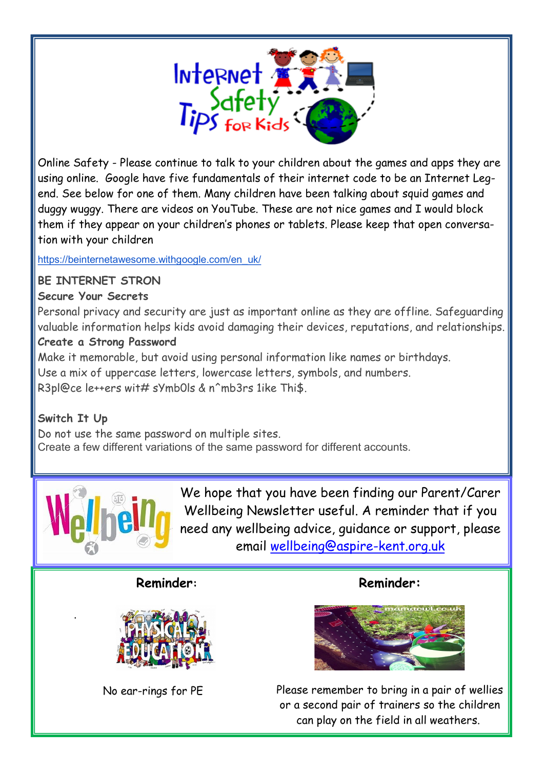

Online Safety - Please continue to talk to your children about the games and apps they are using online. Google have five fundamentals of their internet code to be an Internet Legend. See below for one of them. Many children have been talking about squid games and duggy wuggy. There are videos on YouTube. These are not nice games and I would block them if they appear on your children's phones or tablets. Please keep that open conversation with your children

[https://beinternetawesome.withgoogle.com/en\\_uk/](https://beinternetawesome.withgoogle.com/en_uk/)

#### **BE INTERNET STRON**

#### **Secure Your Secrets**

Personal privacy and security are just as important online as they are offline. Safeguarding valuable information helps kids avoid damaging their devices, reputations, and relationships.

#### **Create a Strong Password**

Make it memorable, but avoid using personal information like names or birthdays. Use a mix of uppercase letters, lowercase letters, symbols, and numbers. R3pl@ce le++ers wit# sYmb0ls & n^mb3rs 1ike Thi\$.

### **Switch It Up**

.

Do not use the same password on multiple sites. Create a few different variations of the same password for different accounts.



We hope that you have been finding our Parent/Carer Wellbeing Newsletter useful. A reminder that if you need any wellbeing advice, guidance or support, please email [wellbeing@aspire-kent.org.uk](mailto:wellbeing@aspire-kent.org.uk)

#### **Reminder:**



No ear-rings for PE

## **Reminder:**



Please remember to bring in a pair of wellies or a second pair of trainers so the children can play on the field in all weathers.